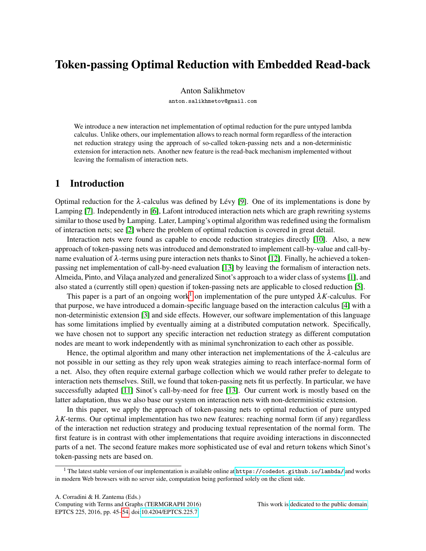# Token-passing Optimal Reduction with Embedded Read-back

Anton Salikhmetov

anton.salikhmetov@gmail.com

We introduce a new interaction net implementation of optimal reduction for the pure untyped lambda calculus. Unlike others, our implementation allows to reach normal form regardless of the interaction net reduction strategy using the approach of so-called token-passing nets and a non-deterministic extension for interaction nets. Another new feature is the read-back mechanism implemented without leaving the formalism of interaction nets.

# 1 Introduction

Optimal reduction for the  $\lambda$ -calculus was defined by Lévy [\[9\]](#page-9-1). One of its implementations is done by Lamping [\[7\]](#page-9-2). Independently in [\[6\]](#page-9-3), Lafont introduced interaction nets which are graph rewriting systems similar to those used by Lamping. Later, Lamping's optimal algorithm was redefined using the formalism of interaction nets; see [\[2\]](#page-9-4) where the problem of optimal reduction is covered in great detail.

Interaction nets were found as capable to encode reduction strategies directly [\[10\]](#page-9-5). Also, a new approach of token-passing nets was introduced and demonstrated to implement call-by-value and call-byname evaluation of  $\lambda$ -terms using pure interaction nets thanks to Sinot [\[12\]](#page-9-6). Finally, he achieved a tokenpassing net implementation of call-by-need evaluation [\[13\]](#page-9-7) by leaving the formalism of interaction nets. Almeida, Pinto, and Vilaça analyzed and generalized Sinot's approach to a wider class of systems [\[1\]](#page-9-8), and also stated a (currently still open) question if token-passing nets are applicable to closed reduction [\[5\]](#page-9-9).

This paper is a part of an ongoing work<sup>[1](#page-0-0)</sup> on implementation of the pure untyped  $\lambda K$ -calculus. For that purpose, we have introduced a domain-specific language based on the interaction calculus [\[4\]](#page-9-10) with a non-deterministic extension [\[3\]](#page-9-11) and side effects. However, our software implementation of this language has some limitations implied by eventually aiming at a distributed computation network. Specifically, we have chosen not to support any specific interaction net reduction strategy as different computation nodes are meant to work independently with as minimal synchronization to each other as possible.

Hence, the optimal algorithm and many other interaction net implementations of the  $\lambda$ -calculus are not possible in our setting as they rely upon weak strategies aiming to reach interface-normal form of a net. Also, they often require external garbage collection which we would rather prefer to delegate to interaction nets themselves. Still, we found that token-passing nets fit us perfectly. In particular, we have successfully adapted [\[11\]](#page-9-12) Sinot's call-by-need for free [\[13\]](#page-9-7). Our current work is mostly based on the latter adaptation, thus we also base our system on interaction nets with non-deterministic extension.

In this paper, we apply the approach of token-passing nets to optimal reduction of pure untyped  $\lambda K$ -terms. Our optimal implementation has two new features: reaching normal form (if any) regardless of the interaction net reduction strategy and producing textual representation of the normal form. The first feature is in contrast with other implementations that require avoiding interactions in disconnected parts of a net. The second feature makes more sophisticated use of eval and return tokens which Sinot's token-passing nets are based on.

<span id="page-0-0"></span><sup>&</sup>lt;sup>1</sup> The latest stable version of our implementation is available online at <https://codedot.github.io/lambda/> and works in modern Web browsers with no server side, computation being performed solely on the client side.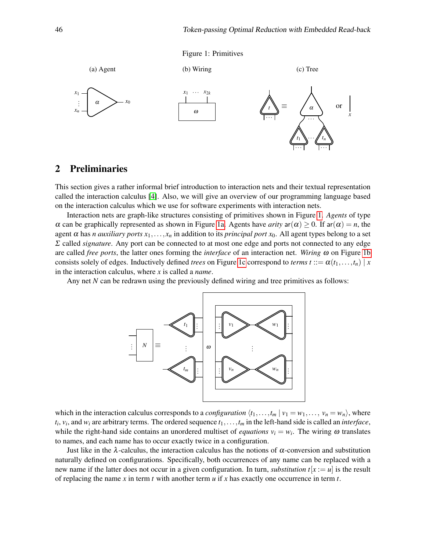

<span id="page-1-0"></span>

### 2 Preliminaries

This section gives a rather informal brief introduction to interaction nets and their textual representation called the interaction calculus [\[4\]](#page-9-10). Also, we will give an overview of our programming language based on the interaction calculus which we use for software experiments with interaction nets.

Interaction nets are graph-like structures consisting of primitives shown in Figure [1.](#page-1-0) *Agents* of type  $\alpha$  can be graphically represented as shown in Figure [1a.](#page-1-0) Agents have *arity* ar( $\alpha$ )  $\geq$  0. If ar( $\alpha$ ) = *n*, the agent  $\alpha$  has *n auxiliary ports*  $x_1, \ldots, x_n$  in addition to its *principal port*  $x_0$ . All agent types belong to a set Σ called *signature*. Any port can be connected to at most one edge and ports not connected to any edge are called *free ports*, the latter ones forming the *interface* of an interaction net. *Wiring* ω on Figure [1b](#page-1-0) consists solely of edges. Inductively defined *trees* on Figure [1c](#page-1-0) correspond to *terms*  $t ::= \alpha(t_1, \ldots, t_n) | x$ in the interaction calculus, where *x* is called a *name*.

Any net *N* can be redrawn using the previously defined wiring and tree primitives as follows:



which in the interaction calculus corresponds to a *configuration*  $\langle t_1, \ldots, t_m | v_1 = w_1, \ldots, v_n = w_n \rangle$ , where  $t_i$ ,  $v_i$ , and  $w_i$  are arbitrary terms. The ordered sequence  $t_1, \ldots, t_m$  in the left-hand side is called an *interface*, while the right-hand side contains an unordered multiset of *equations*  $v_i = w_i$ . The wiring  $\omega$  translates to names, and each name has to occur exactly twice in a configuration.

Just like in the  $\lambda$ -calculus, the interaction calculus has the notions of  $\alpha$ -conversion and substitution naturally defined on configurations. Specifically, both occurrences of any name can be replaced with a new name if the latter does not occur in a given configuration. In turn, *substitution*  $t[x := u]$  is the result of replacing the name *x* in term *t* with another term *u* if *x* has exactly one occurrence in term *t*.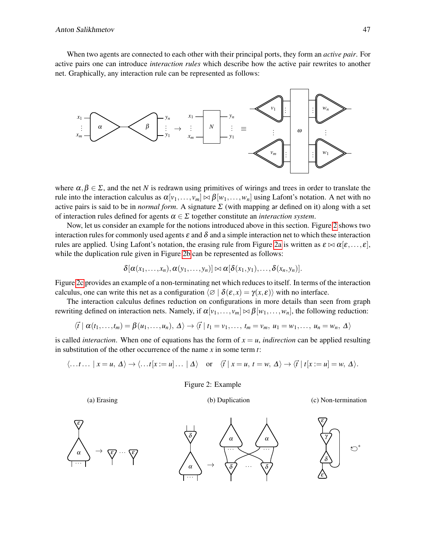When two agents are connected to each other with their principal ports, they form an *active pair*. For active pairs one can introduce *interaction rules* which describe how the active pair rewrites to another net. Graphically, any interaction rule can be represented as follows:



where  $\alpha, \beta \in \Sigma$ , and the net *N* is redrawn using primitives of wirings and trees in order to translate the rule into the interaction calculus as  $\alpha[v_1,\ldots,v_m] \bowtie \beta[w_1,\ldots,w_n]$  using Lafont's notation. A net with no active pairs is said to be in *normal form*. A signature  $\Sigma$  (with mapping ar defined on it) along with a set of interaction rules defined for agents  $\alpha \in \Sigma$  together constitute an *interaction system*.

Now, let us consider an example for the notions introduced above in this section. Figure [2](#page-2-0) shows two interaction rules for commonly used agents  $\varepsilon$  and  $\delta$  and a simple interaction net to which these interaction rules are applied. Using Lafont's notation, the erasing rule from Figure [2a](#page-2-0) is written as  $\varepsilon \bowtie \alpha[\varepsilon, \dots, \varepsilon]$ , while the duplication rule given in Figure [2b](#page-2-0) can be represented as follows:

$$
\delta[\alpha(x_1,\ldots,x_n),\alpha(y_1,\ldots,y_n)] \bowtie \alpha[\delta(x_1,y_1),\ldots,\delta(x_n,y_n)].
$$

Figure [2c](#page-2-0) provides an example of a non-terminating net which reduces to itself. In terms of the interaction calculus, one can write this net as a configuration  $\langle \emptyset | \delta(\varepsilon, x) = \gamma(x, \varepsilon) \rangle$  with no interface.

The interaction calculus defines reduction on configurations in more details than seen from graph rewriting defined on interaction nets. Namely, if  $\alpha[v_1,\ldots,v_m] \bowtie \beta[w_1,\ldots,w_n]$ , the following reduction:

$$
\langle \vec{t} \mid \alpha(t_1,\ldots,t_m)=\beta(u_1,\ldots,u_n), \Delta\rangle \rightarrow \langle \vec{t} \mid t_1=v_1,\ldots,t_m=v_m, u_1=w_1,\ldots,u_n=w_n, \Delta\rangle
$$

is called *interaction*. When one of equations has the form of  $x = u$ , *indirection* can be applied resulting in substitution of the other occurrence of the name *x* in some term *t*:

<span id="page-2-0"></span>
$$
\langle \ldots t \ldots | x = u, \Delta \rangle \to \langle \ldots t [x := u] \ldots | \Delta \rangle \quad \text{or} \quad \langle \vec{t} | x = u, t = w, \Delta \rangle \to \langle \vec{t} | t [x := u] = w, \Delta \rangle.
$$

Figure 2: Example

(a) Erasing

(b) Duplication

(c) Non-termination

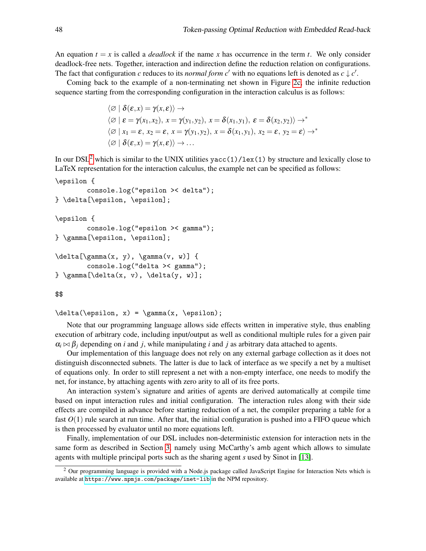An equation  $t = x$  is called a *deadlock* if the name x has occurrence in the term t. We only consider deadlock-free nets. Together, interaction and indirection define the reduction relation on configurations. The fact that configuration *c* reduces to its *normal form c'* with no equations left is denoted as  $c \downarrow c'$ .

Coming back to the example of a non-terminating net shown in Figure [2c,](#page-2-0) the infinite reduction sequence starting from the corresponding configuration in the interaction calculus is as follows:

$$
\langle \varnothing | \delta(\varepsilon, x) = \gamma(x, \varepsilon) \rangle \to
$$
  
\n
$$
\langle \varnothing | \varepsilon = \gamma(x_1, x_2), x = \gamma(y_1, y_2), x = \delta(x_1, y_1), \varepsilon = \delta(x_2, y_2) \rangle \to^*
$$
  
\n
$$
\langle \varnothing | x_1 = \varepsilon, x_2 = \varepsilon, x = \gamma(y_1, y_2), x = \delta(x_1, y_1), x_2 = \varepsilon, y_2 = \varepsilon \rangle \to^*
$$
  
\n
$$
\langle \varnothing | \delta(\varepsilon, x) = \gamma(x, \varepsilon) \rangle \to \dots
$$

In our DSL<sup>[2](#page-3-0)</sup> which is similar to the UNIX utilities yacc(1)/lex(1) by structure and lexically close to LaTeX representation for the interaction calculus, the example net can be specified as follows:

```
\epsilon {
```

```
console.log("epsilon >< delta");
} \delta[\epsilon, \epsilon];
```

```
\epsilon {
```

```
console.log("epsilon >< gamma");
} \gamma[\epsilon, \epsilon];
```

```
\delta(x, y), \gamma(x, w)] {
       console.log("delta >< gamma");
\qquad \gamma[\delta(x, v), \delta(y, w)];
```
#### \$\$

```
\delta(\epsilon, x) = \gamma(x, \epsilon);
```
Note that our programming language allows side effects written in imperative style, thus enabling execution of arbitrary code, including input/output as well as conditional multiple rules for a given pair  $\alpha_i \bowtie \beta_i$  depending on *i* and *j*, while manipulating *i* and *j* as arbitrary data attached to agents.

Our implementation of this language does not rely on any external garbage collection as it does not distinguish disconnected subnets. The latter is due to lack of interface as we specify a net by a multiset of equations only. In order to still represent a net with a non-empty interface, one needs to modify the net, for instance, by attaching agents with zero arity to all of its free ports.

An interaction system's signature and arities of agents are derived automatically at compile time based on input interaction rules and initial configuration. The interaction rules along with their side effects are compiled in advance before starting reduction of a net, the compiler preparing a table for a fast  $O(1)$  rule search at run time. After that, the initial configuration is pushed into a FIFO queue which is then processed by evaluator until no more equations left.

Finally, implementation of our DSL includes non-deterministic extension for interaction nets in the same form as described in Section [3,](#page-4-0) namely using McCarthy's amb agent which allows to simulate agents with multiple principal ports such as the sharing agent *s* used by Sinot in [\[13\]](#page-9-7).

<span id="page-3-0"></span> $2$  Our programming language is provided with a Node.js package called JavaScript Engine for Interaction Nets which is available at <https://www.npmjs.com/package/inet-lib> in the NPM repository.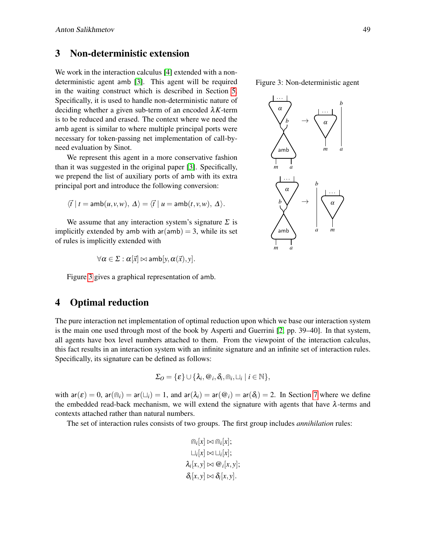# <span id="page-4-0"></span>3 Non-deterministic extension

We work in the interaction calculus [\[4\]](#page-9-10) extended with a nondeterministic agent amb [\[3\]](#page-9-11). This agent will be required in the waiting construct which is described in Section [5.](#page-5-0) Specifically, it is used to handle non-deterministic nature of deciding whether a given sub-term of an encoded λ*K*-term is to be reduced and erased. The context where we need the amb agent is similar to where multiple principal ports were necessary for token-passing net implementation of call-byneed evaluation by Sinot.

We represent this agent in a more conservative fashion than it was suggested in the original paper [\[3\]](#page-9-11). Specifically, we prepend the list of auxiliary ports of amb with its extra principal port and introduce the following conversion:

$$
\langle \vec{t} \mid t = \mathsf{amb}(u, v, w), \Delta \rangle = \langle \vec{t} \mid u = \mathsf{amb}(t, v, w), \Delta \rangle.
$$

We assume that any interaction system's signature  $\Sigma$  is implicitly extended by amb with  $ar(amb) = 3$ , while its set of rules is implicitly extended with

$$
\forall \alpha \in \Sigma : \alpha[\vec{x}] \bowtie \mathsf{amb}[y, \alpha(\vec{x}), y].
$$

Figure [3](#page-4-1) gives a graphical representation of amb.

# 4 Optimal reduction

The pure interaction net implementation of optimal reduction upon which we base our interaction system is the main one used through most of the book by Asperti and Guerrini [\[2,](#page-9-4) pp. 39–40]. In that system, all agents have box level numbers attached to them. From the viewpoint of the interaction calculus, this fact results in an interaction system with an infinite signature and an infinite set of interaction rules. Specifically, its signature can be defined as follows:

$$
\Sigma_O = \{\varepsilon\} \cup \{\lambda_i, \varpi_i, \delta_i, \varpi_i, \sqcup_i | i \in \mathbb{N}\},\
$$

with  $ar(\mathcal{E}) = 0$ ,  $ar(\overline{m_i}) = ar(\overline{L_i}) = 1$ , and  $ar(\lambda_i) = ar(\overline{\omega_i}) = ar(\delta_i) = 2$ . In Section [7](#page-7-0) where we define the embedded read-back mechanism, we will extend the signature with agents that have  $\lambda$ -terms and contexts attached rather than natural numbers.

The set of interaction rules consists of two groups. The first group includes *annihilation* rules:

$$
\begin{aligned}\n\widehat{\mathbb{m}}_i[x] &\approx \widehat{\mathbb{m}}_i[x]; \\
\sqcup_i [x] &\approx \sqcup_i [x]; \\
\lambda_i [x, y] &\approx \mathcal{Q}_i [x, y]; \\
\delta_i [x, y] &\approx \delta_i [x, y].\n\end{aligned}
$$

<span id="page-4-1"></span>Figure 3: Non-deterministic agent

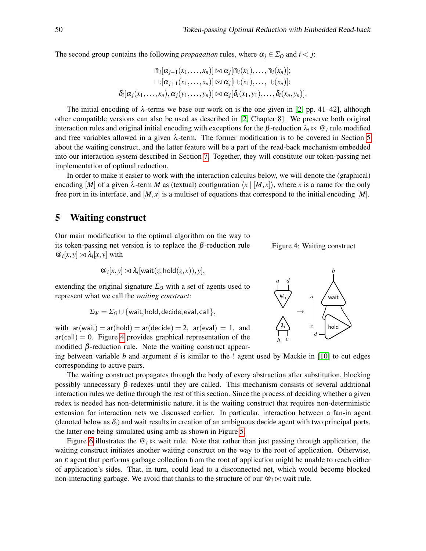The second group contains the following *propagation* rules, where  $\alpha_j \in \Sigma_O$  and  $i < j$ :

$$
\bigcap_i [\alpha_{j-1}(x_1,\ldots,x_n)] \bowtie \alpha_j[\bigcap_i (x_1),\ldots,\bigcap_i (x_n)];
$$
  
\n
$$
\sqcup_i [\alpha_{j+1}(x_1,\ldots,x_n)] \bowtie \alpha_j[\sqcup_i (x_1),\ldots,\sqcup_i (x_n)];
$$
  
\n
$$
\delta_i[\alpha_j(x_1,\ldots,x_n),\alpha_j(y_1,\ldots,y_n)] \bowtie \alpha_j[\delta_i(x_1,y_1),\ldots,\delta_i(x_n,y_n)].
$$

The initial encoding of  $\lambda$ -terms we base our work on is the one given in [\[2,](#page-9-4) pp. 41–42], although other compatible versions can also be used as described in [\[2,](#page-9-4) Chapter 8]. We preserve both original interaction rules and original initial encoding with exceptions for the  $\beta$ -reduction  $\lambda_i \bowtie \mathcal{Q}_i$  rule modified and free variables allowed in a given  $\lambda$ -term. The former modification is to be covered in Section [5](#page-5-0) about the waiting construct, and the latter feature will be a part of the read-back mechanism embedded into our interaction system described in Section [7.](#page-7-0) Together, they will constitute our token-passing net implementation of optimal reduction.

In order to make it easier to work with the interaction calculus below, we will denote the (graphical) encoding  $[M]$  of a given  $\lambda$ -term M as (textual) configuration  $\langle x | [M, x] \rangle$ , where x is a name for the only free port in its interface, and  $[M, x]$  is a multiset of equations that correspond to the initial encoding  $[M]$ .

#### <span id="page-5-0"></span>5 Waiting construct

Our main modification to the optimal algorithm on the way to its token-passing net version is to replace the  $\beta$ -reduction rule  $\omega_i[x, y] \bowtie \lambda_i[x, y]$  with

$$
{} @i[x, y] \bowtie \lambda_i[wait(z, hold(z, x)), y],
$$

extending the original signature  $\Sigma<sub>O</sub>$  with a set of agents used to represent what we call the *waiting construct*:

$$
\Sigma_W = \Sigma_O \cup \{\text{wait}, \text{hold}, \text{decide}, \text{eval}, \text{call}\},
$$

with  $ar(wait) = ar(hold) = ar(decide) = 2$ ,  $ar(eval) = 1$ , and  $ar(call) = 0$ . Figure [4](#page-5-1) provides graphical representation of the modified  $\beta$ -reduction rule. Note the waiting construct appear-

ing between variable *b* and argument *d* is similar to the ! agent used by Mackie in [\[10\]](#page-9-5) to cut edges corresponding to active pairs.

The waiting construct propagates through the body of every abstraction after substitution, blocking possibly unnecessary  $\beta$ -redexes until they are called. This mechanism consists of several additional interaction rules we define through the rest of this section. Since the process of deciding whether a given redex is needed has non-deterministic nature, it is the waiting construct that requires non-deterministic extension for interaction nets we discussed earlier. In particular, interaction between a fan-in agent (denoted below as  $\delta_i$ ) and wait results in creation of an ambiguous decide agent with two principal ports, the latter one being simulated using amb as shown in Figure [5.](#page-6-0)

Figure [6](#page-6-0) illustrates the  $\mathcal{Q}_i \bowtie$  wait rule. Note that rather than just passing through application, the waiting construct initiates another waiting construct on the way to the root of application. Otherwise, an  $\varepsilon$  agent that performs garbage collection from the root of application might be unable to reach either of application's sides. That, in turn, could lead to a disconnected net, which would become blocked non-interacting garbage. We avoid that thanks to the structure of our  $\mathcal{Q}_i \bowtie$  wait rule.



<span id="page-5-1"></span>Figure 4: Waiting construct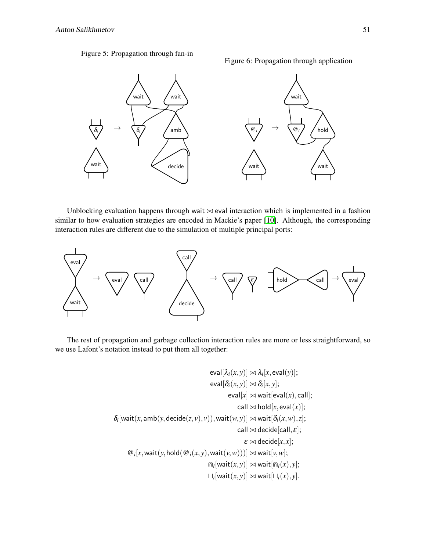<span id="page-6-0"></span>Figure 5: Propagation through fan-in

Figure 6: Propagation through application



Unblocking evaluation happens through wait  $\bowtie$  eval interaction which is implemented in a fashion similar to how evaluation strategies are encoded in Mackie's paper [\[10\]](#page-9-5). Although, the corresponding interaction rules are different due to the simulation of multiple principal ports:



The rest of propagation and garbage collection interaction rules are more or less straightforward, so we use Lafont's notation instead to put them all together:

$$
\mathrm{eval}[\lambda_i(x,y)] \bowtie \lambda_i[x,\mathrm{eval}(y)];
$$
\n
$$
\mathrm{eval}[\delta_i(x,y)] \bowtie \delta_i[x,y];
$$
\n
$$
\mathrm{eval}[x] \bowtie \mathrm{wait}[\mathrm{eval}(x),\mathrm{call}];
$$
\n
$$
\mathrm{call} \bowtie \mathrm{hold}[x,\mathrm{eval}(x)],\mathrm{call}];
$$
\n
$$
\delta_i[\mathrm{wait}(x,\mathrm{amb}(y,\mathrm{decide}(z,v),v)),\mathrm{wait}(w,y)] \bowtie \mathrm{wait}[\delta_i(x,w),z];
$$
\n
$$
\mathrm{call} \bowtie \mathrm{decide}[\mathrm{call},\varepsilon];
$$
\n
$$
\varepsilon \bowtie \mathrm{decide}[x,x];
$$
\n
$$
\text{@}_i[x,\mathrm{wait}(y,\mathrm{hold}(\text{@}_i(x,y),\mathrm{wait}(v,w)))] \bowtie \mathrm{wait}[v,w];
$$
\n
$$
\text{@}_i[\mathrm{wait}(x,y)] \bowtie \mathrm{wait}[\text{@}_i(x),y];
$$
\n
$$
\sqcup_i[\mathrm{wait}(x,y)] \bowtie \mathrm{wait}[\sqcup_i(x),y].
$$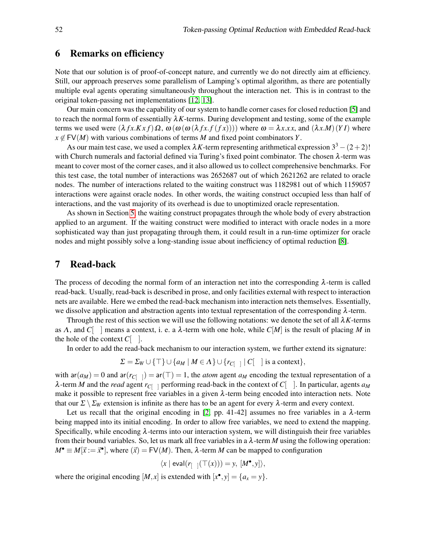#### 6 Remarks on efficiency

Note that our solution is of proof-of-concept nature, and currently we do not directly aim at efficiency. Still, our approach preserves some parallelism of Lamping's optimal algorithm, as there are potentially multiple eval agents operating simultaneously throughout the interaction net. This is in contrast to the original token-passing net implementations [\[12,](#page-9-6) [13\]](#page-9-7).

Our main concern was the capability of our system to handle corner cases for closed reduction [\[5\]](#page-9-9) and to reach the normal form of essentially  $\lambda K$ -terms. During development and testing, some of the example terms we used were  $(λ f x.Kxf)Ω$ ,  $ω(ω(ω(λ f x.f (f x))))$  where  $ω = λx.x$ , and  $(λx.M)(YI)$  where  $x \notin FV(M)$  with various combinations of terms *M* and fixed point combinators *Y*.

As our main test case, we used a complex  $\lambda K$ -term representing arithmetical expression  $3^3 - (2+2)!$ with Church numerals and factorial defined via Turing's fixed point combinator. The chosen  $\lambda$ -term was meant to cover most of the corner cases, and it also allowed us to collect comprehensive benchmarks. For this test case, the total number of interactions was 2652687 out of which 2621262 are related to oracle nodes. The number of interactions related to the waiting construct was 1182981 out of which 1159057 interactions were against oracle nodes. In other words, the waiting construct occupied less than half of interactions, and the vast majority of its overhead is due to unoptimized oracle representation.

As shown in Section [5,](#page-5-0) the waiting construct propagates through the whole body of every abstraction applied to an argument. If the waiting construct were modified to interact with oracle nodes in a more sophisticated way than just propagating through them, it could result in a run-time optimizer for oracle nodes and might possibly solve a long-standing issue about inefficiency of optimal reduction [\[8\]](#page-9-13).

#### <span id="page-7-0"></span>7 Read-back

The process of decoding the normal form of an interaction net into the corresponding  $\lambda$ -term is called read-back. Usually, read-back is described in prose, and only facilities external with respect to interaction nets are available. Here we embed the read-back mechanism into interaction nets themselves. Essentially, we dissolve application and abstraction agents into textual representation of the corresponding λ-term.

Through the rest of this section we will use the following notations: we denote the set of all  $\lambda K$ -terms as  $\Lambda$ , and  $C$ <sup>[</sup> ] means a context, i. e. a  $\lambda$ -term with one hole, while  $C[M]$  is the result of placing M in the hole of the context  $C[-]$ .

In order to add the read-back mechanism to our interaction system, we further extend its signature:

$$
\Sigma = \Sigma_W \cup \{\top\} \cup \{a_M \mid M \in \Lambda\} \cup \{r_{C[\ ]} \mid C[\ ] \text{ is a context}\},\
$$

with  $ar(a_M) = 0$  and  $ar(r_{C[-]}) = ar(T) = 1$ , the *atom* agent  $a_M$  encoding the textual representation of a  $\lambda$ -term *M* and the *read* agent  $r_{C}$ <sub>[ ]</sub> performing read-back in the context of  $C$ [ ]. In particular, agents  $a_M$ make it possible to represent free variables in a given  $\lambda$ -term being encoded into interaction nets. Note that our  $\Sigma \setminus \Sigma_W$  extension is infinite as there has to be an agent for every  $\lambda$ -term and every context.

Let us recall that the original encoding in [\[2,](#page-9-4) pp. 41-42] assumes no free variables in a  $\lambda$ -term being mapped into its initial encoding. In order to allow free variables, we need to extend the mapping. Specifically, while encoding  $\lambda$ -terms into our interaction system, we will distinguish their free variables from their bound variables. So, let us mark all free variables in a  $\lambda$ -term *M* using the following operation:  $M^{\bullet} \equiv M[\vec{x} := \vec{x}^{\bullet}]$ , where  $(\vec{x}) = FV(M)$ . Then,  $\lambda$ -term *M* can be mapped to configuration

$$
\langle x \mid \mathsf{eval}(r_{[-]}(\top(x))) = y, [M^{\bullet}, y] \rangle,
$$

where the original encoding  $[M, x]$  is extended with  $[x^{\bullet}, y] = \{a_x = y\}.$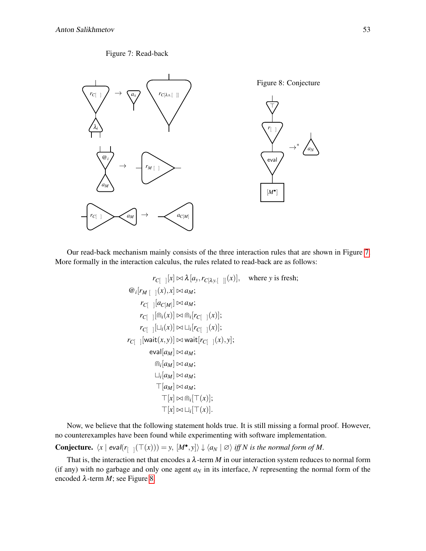#### Figure 7: Read-back

<span id="page-8-0"></span>

Our read-back mechanism mainly consists of the three interaction rules that are shown in Figure [7.](#page-8-0) More formally in the interaction calculus, the rules related to read-back are as follows:

> $r_{C}$ [  $\left[\left[x\right] \bowtie \lambda \left[a_y, r_{C[\lambda y, [\theta]]}(x)\right], \text{ where } y \text{ is fresh};$  $\omega_i[r_M \mid (x), x] \bowtie a_M;$  $r_{C}$ [  $\left[ a_{C[M]} \right] \bowtie a_M;$  $r_{C[-]}[\ln_i(x)] \bowtie \ln_i[r_{C[-]}(x)];$  $r_{C[-]}[\sqcup_i(x)] \bowtie \sqcup_i[r_{C[-]}(x)];$  $r_{C}$ [ | [wait $(x, y)$ ]  $\bowtie$  wait $[r_{C}$ [ |  $(x), y]$ ;  $|e$ val $[a_M] \bowtie a_M$ ;  $\bigcap_i [a_M] \bowtie a_M;$  $\sqcup_i [a_M] \bowtie a_M;$  $\top$ [*a<sub>M</sub>*]  $\bowtie$  *a<sub>M</sub>*;  $\top[x] \bowtie \text{m}_i[\top(x)];$  $\top[x] \bowtie \sqcup_i [\top(x)].$

Now, we believe that the following statement holds true. It is still missing a formal proof. However, no counterexamples have been found while experimenting with software implementation.

**Conjecture.**  $\langle x | \text{eval}(r_{[-]}(\top(x))) = y, [M^{\bullet}, y] \rangle \downarrow \langle a_N | \varnothing \rangle$  if N is the normal form of M.

That is, the interaction net that encodes a  $\lambda$ -term  $M$  in our interaction system reduces to normal form (if any) with no garbage and only one agent  $a_N$  in its interface,  $N$  representing the normal form of the encoded  $\lambda$ -term *M*; see Figure [8.](#page-8-0)